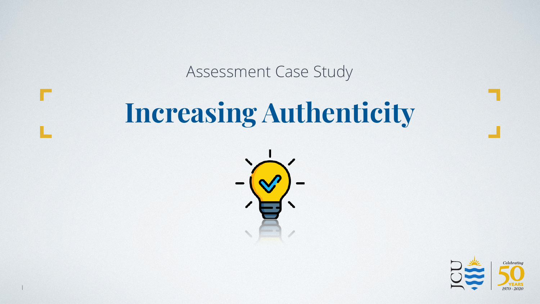# **Increasing Authenticity** Assessment Case Study



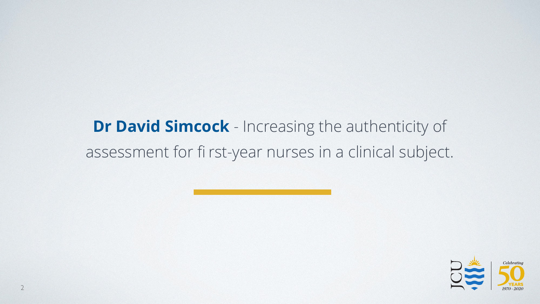## **Dr David Simcock** - Increasing the authenticity of assessment for fi rst-year nurses in a clinical subject.

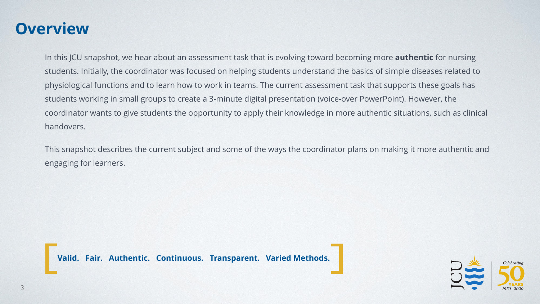#### **Overview**

In this JCU snapshot, we hear about an assessment task that is evolving toward becoming more **authentic** for nursing students. Initially, the coordinator was focused on helping students understand the basics of simple diseases related to physiological functions and to learn how to work in teams. The current assessment task that supports these goals has students working in small groups to create a 3-minute digital presentation (voice-over PowerPoint). However, the coordinator wants to give students the opportunity to apply their knowledge in more authentic situations, such as clinical handovers.

This snapshot describes the current subject and some of the ways the coordinator plans on making it more authentic and engaging for learners.

**Valid. Fair. Authentic. Continuous. Transparent. Varied Methods.**

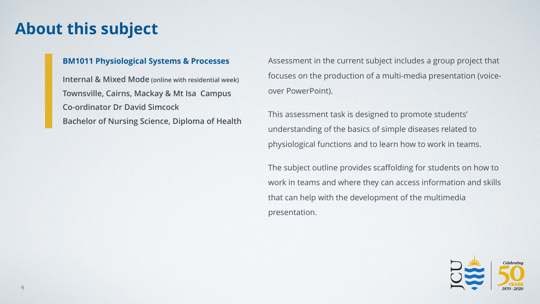#### **About this subject**

#### **BM1011 Physiological Systems & Processes**

**Internal & Mixed Mode (online with residential week) Townsville, Cairns, Mackay & Mt Isa Campus Co-ordinator Dr David Simcock Bachelor of Nursing Science, Diploma of Health** Assessment in the current subject includes a group project that focuses on the production of a multi-media presentation (voiceover PowerPoint).

This assessment task is designed to promote students' understanding of the basics of simple diseases related to physiological functions and to learn how to work in teams.

The subject outline provides scaffolding for students on how to work in teams and where they can access information and skills that can help with the development of the multimedia presentation.

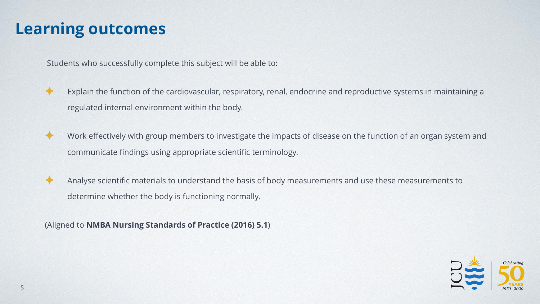#### **Learning outcomes**

Students who successfully complete this subject will be able to:



Explain the function of the cardiovascular, respiratory, renal, endocrine and reproductive systems in maintaining a regulated internal environment within the body.

Work effectively with group members to investigate the impacts of disease on the function of an organ system and communicate findings using appropriate scientific terminology.

Analyse scientific materials to understand the basis of body measurements and use these measurements to determine whether the body is functioning normally.

(Aligned to **NMBA Nursing Standards of Practice (2016) 5.1**)

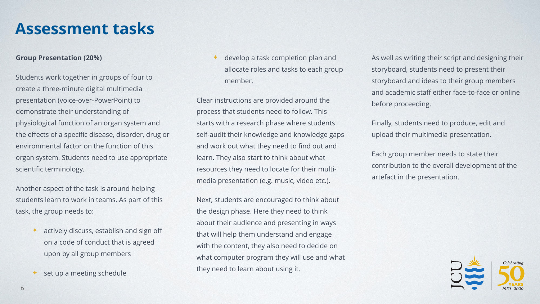#### **Assessment tasks**

#### **Group Presentation (20%)**

Students work together in groups of four to create a three-minute digital multimedia presentation (voice-over-PowerPoint) to demonstrate their understanding of physiological function of an organ system and the effects of a specific disease, disorder, drug or environmental factor on the function of this organ system. Students need to use appropriate scientific terminology.

Another aspect of the task is around helping students learn to work in teams. As part of this task, the group needs to:

- $\triangleleft$  actively discuss, establish and sign off on a code of conduct that is agreed upon by all group members
- set up a meeting schedule

develop a task completion plan and allocate roles and tasks to each group member.

Clear instructions are provided around the process that students need to follow. This starts with a research phase where students self-audit their knowledge and knowledge gaps and work out what they need to find out and learn. They also start to think about what resources they need to locate for their multimedia presentation (e.g. music, video etc.).

Next, students are encouraged to think about the design phase. Here they need to think about their audience and presenting in ways that will help them understand and engage with the content, they also need to decide on what computer program they will use and what they need to learn about using it.

As well as writing their script and designing their storyboard, students need to present their storyboard and ideas to their group members and academic staff either face-to-face or online before proceeding.

Finally, students need to produce, edit and upload their multimedia presentation.

Each group member needs to state their contribution to the overall development of the artefact in the presentation.

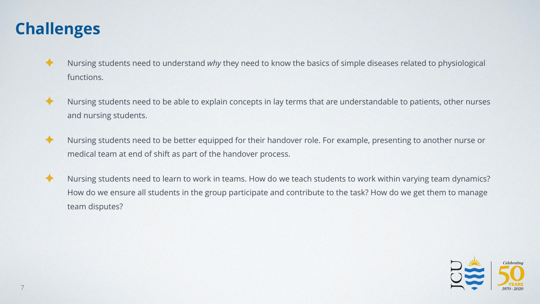## **Challenges**

- ✦ Nursing students need to understand *why* they need to know the basics of simple diseases related to physiological functions.
- ✦ Nursing students need to be able to explain concepts in lay terms that are understandable to patients, other nurses and nursing students.
- ✦ Nursing students need to be better equipped for their handover role. For example, presenting to another nurse or medical team at end of shift as part of the handover process.
- ✦ Nursing students need to learn to work in teams. How do we teach students to work within varying team dynamics? How do we ensure all students in the group participate and contribute to the task? How do we get them to manage team disputes?

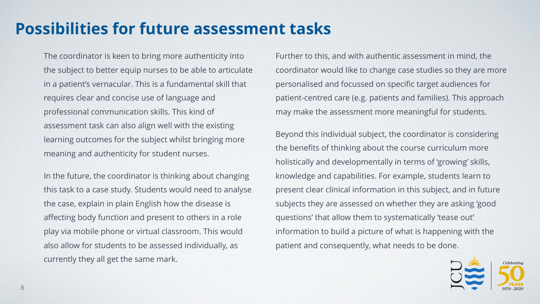## **Possibilities for future assessment tasks**

The coordinator is keen to bring more authenticity into the subject to better equip nurses to be able to articulate in a patient's vernacular. This is a fundamental skill that requires clear and concise use of language and professional communication skills. This kind of assessment task can also align well with the existing learning outcomes for the subject whilst bringing more meaning and authenticity for student nurses.

In the future, the coordinator is thinking about changing this task to a case study. Students would need to analyse the case, explain in plain English how the disease is affecting body function and present to others in a role play via mobile phone or virtual classroom. This would also allow for students to be assessed individually, as currently they all get the same mark.

Further to this, and with authentic assessment in mind, the coordinator would like to change case studies so they are more personalised and focussed on specific target audiences for patient-centred care (e.g. patients and families). This approach may make the assessment more meaningful for students.

Beyond this individual subject, the coordinator is considering the benefits of thinking about the course curriculum more holistically and developmentally in terms of 'growing' skills, knowledge and capabilities. For example, students learn to present clear clinical information in this subject, and in future subjects they are assessed on whether they are asking 'good questions' that allow them to systematically 'tease out' information to build a picture of what is happening with the patient and consequently, what needs to be done.

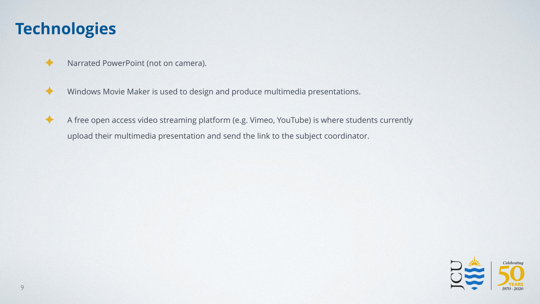#### **Technologies**

✦ Narrated PowerPoint (not on camera).



- ✦ Windows Movie Maker is used to design and produce multimedia presentations.
- ✦ A free open access video streaming platform (e.g. Vimeo, YouTube) is where students currently upload their multimedia presentation and send the link to the subject coordinator.